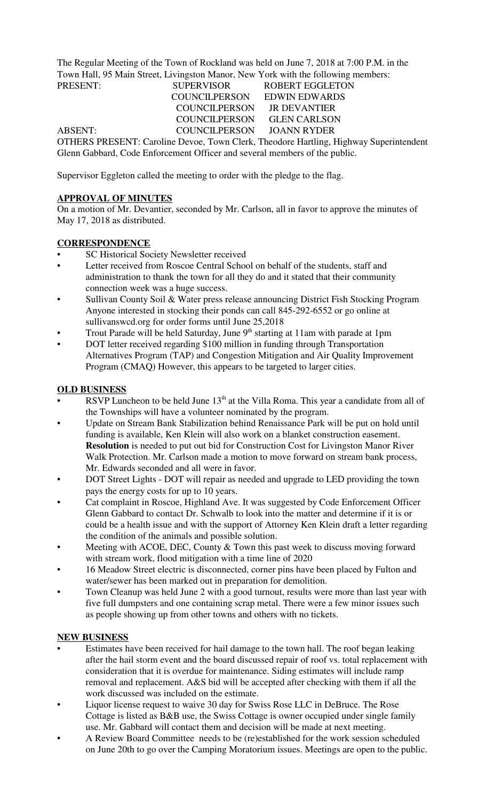The Regular Meeting of the Town of Rockland was held on June 7, 2018 at 7:00 P.M. in the Town Hall, 95 Main Street, Livingston Manor, New York with the following members:

PRESENT: SUPERVISOR ROBERT EGGLETON COUNCILPERSON EDWIN EDWARDS COUNCILPERSON JR DEVANTIER COUNCILPERSON GLEN CARLSON ABSENT: COUNCILPERSON JOANN RYDER

OTHERS PRESENT: Caroline Devoe, Town Clerk, Theodore Hartling, Highway Superintendent Glenn Gabbard, Code Enforcement Officer and several members of the public.

Supervisor Eggleton called the meeting to order with the pledge to the flag.

## **APPROVAL OF MINUTES**

On a motion of Mr. Devantier, seconded by Mr. Carlson, all in favor to approve the minutes of May 17, 2018 as distributed.

# **CORRESPONDENCE**

- SC Historical Society Newsletter received
- Letter received from Roscoe Central School on behalf of the students, staff and administration to thank the town for all they do and it stated that their community connection week was a huge success.
- Sullivan County Soil & Water press release announcing District Fish Stocking Program Anyone interested in stocking their ponds can call 845-292-6552 or go online at sullivanswcd.org for order forms until June 25,2018
- Trout Parade will be held Saturday, June 9<sup>th</sup> starting at 11am with parade at 1pm
- DOT letter received regarding \$100 million in funding through Transportation Alternatives Program (TAP) and Congestion Mitigation and Air Quality Improvement Program (CMAQ) However, this appears to be targeted to larger cities.

## **OLD BUSINESS**

- RSVP Luncheon to be held June  $13<sup>th</sup>$  at the Villa Roma. This year a candidate from all of the Townships will have a volunteer nominated by the program.
- Update on Stream Bank Stabilization behind Renaissance Park will be put on hold until funding is available, Ken Klein will also work on a blanket construction easement. **Resolution** is needed to put out bid for Construction Cost for Livingston Manor River Walk Protection. Mr. Carlson made a motion to move forward on stream bank process, Mr. Edwards seconded and all were in favor.
- DOT Street Lights DOT will repair as needed and upgrade to LED providing the town pays the energy costs for up to 10 years.
- Cat complaint in Roscoe, Highland Ave. It was suggested by Code Enforcement Officer Glenn Gabbard to contact Dr. Schwalb to look into the matter and determine if it is or could be a health issue and with the support of Attorney Ken Klein draft a letter regarding the condition of the animals and possible solution.
- Meeting with ACOE, DEC, County & Town this past week to discuss moving forward with stream work, flood mitigation with a time line of 2020
- 16 Meadow Street electric is disconnected, corner pins have been placed by Fulton and water/sewer has been marked out in preparation for demolition.
- Town Cleanup was held June 2 with a good turnout, results were more than last year with five full dumpsters and one containing scrap metal. There were a few minor issues such as people showing up from other towns and others with no tickets.

### **NEW BUSINESS**

- Estimates have been received for hail damage to the town hall. The roof began leaking after the hail storm event and the board discussed repair of roof vs. total replacement with consideration that it is overdue for maintenance. Siding estimates will include ramp removal and replacement. A&S bid will be accepted after checking with them if all the work discussed was included on the estimate.
- Liquor license request to waive 30 day for Swiss Rose LLC in DeBruce. The Rose Cottage is listed as B&B use, the Swiss Cottage is owner occupied under single family use. Mr. Gabbard will contact them and decision will be made at next meeting.
- A Review Board Committee needs to be (re)established for the work session scheduled on June 20th to go over the Camping Moratorium issues. Meetings are open to the public.